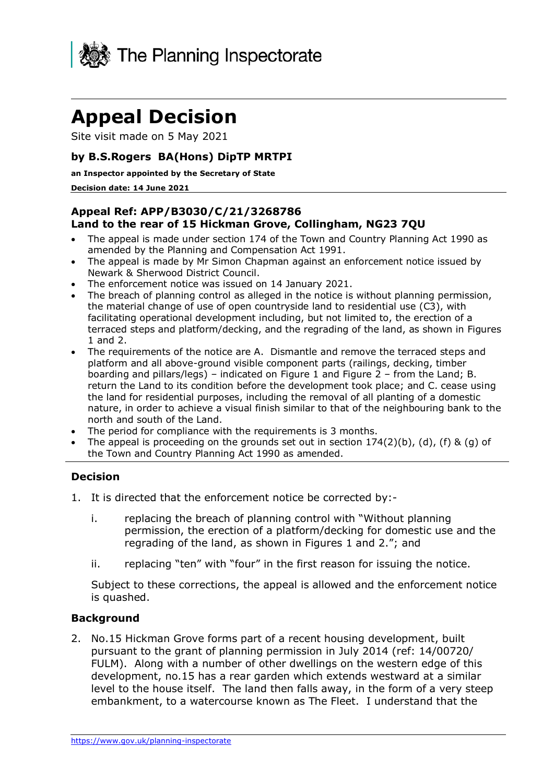

# **Appeal Decision**

Site visit made on 5 May 2021

## **by B.S.Rogers BA(Hons) DipTP MRTPI**

#### **an Inspector appointed by the Secretary of State**

#### **Decision date: 14 June 2021**

## **Appeal Ref: APP/B3030/C/21/3268786 Land to the rear of 15 Hickman Grove, Collingham, NG23 7QU**

- The appeal is made under section 174 of the Town and Country Planning Act 1990 as amended by the Planning and Compensation Act 1991.
- The appeal is made by Mr Simon Chapman against an enforcement notice issued by Newark & Sherwood District Council.
- The enforcement notice was issued on 14 January 2021.
- The breach of planning control as alleged in the notice is without planning permission, the material change of use of open countryside land to residential use (C3), with facilitating operational development including, but not limited to, the erection of a terraced steps and platform/decking, and the regrading of the land, as shown in Figures 1 and 2.
- The requirements of the notice are A. Dismantle and remove the terraced steps and platform and all above-ground visible component parts (railings, decking, timber boarding and pillars/legs) – indicated on Figure 1 and Figure  $2$  – from the Land; B. return the Land to its condition before the development took place; and C. cease using the land for residential purposes, including the removal of all planting of a domestic nature, in order to achieve a visual finish similar to that of the neighbouring bank to the north and south of the Land.
- The period for compliance with the requirements is 3 months.
- The appeal is proceeding on the grounds set out in section  $174(2)(b)$ , (d), (f) & (g) of the Town and Country Planning Act 1990 as amended.

## **Decision**

- 1. It is directed that the enforcement notice be corrected by:
	- i. replacing the breach of planning control with "Without planning" permission, the erection of a platform/decking for domestic use and the regrading of the land, as shown in Figures 1 and 2."; and
	- ii. replacing "ten" with "four" in the first reason for issuing the notice.

Subject to these corrections, the appeal is allowed and the enforcement notice is quashed.

### **Background**

2. No.15 Hickman Grove forms part of a recent housing development, built pursuant to the grant of planning permission in July 2014 (ref: 14/00720/ FULM). Along with a number of other dwellings on the western edge of this development, no.15 has a rear garden which extends westward at a similar level to the house itself. The land then falls away, in the form of a very steep embankment, to a watercourse known as The Fleet. I understand that the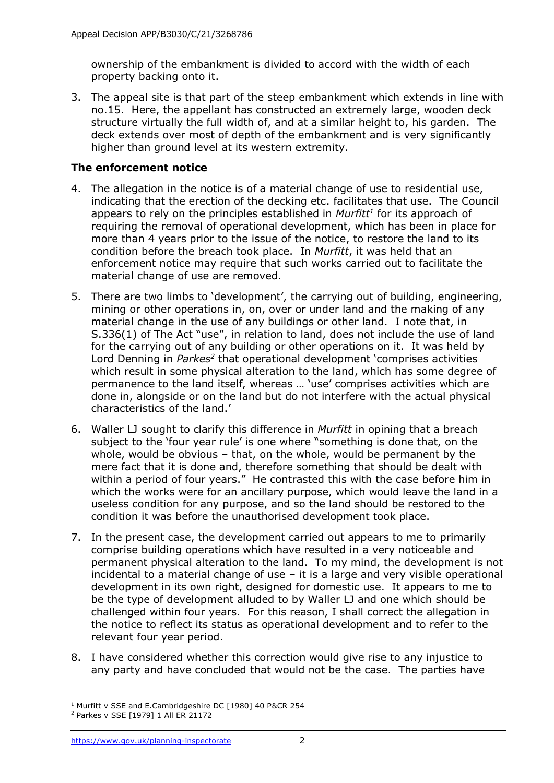ownership of the embankment is divided to accord with the width of each property backing onto it.

3. The appeal site is that part of the steep embankment which extends in line with no.15. Here, the appellant has constructed an extremely large, wooden deck structure virtually the full width of, and at a similar height to, his garden. The deck extends over most of depth of the embankment and is very significantly higher than ground level at its western extremity.

## **The enforcement notice**

- 4. The allegation in the notice is of a material change of use to residential use, indicating that the erection of the decking etc. facilitates that use. The Council appears to rely on the principles established in *Murfitt<sup>1</sup>* for its approach of requiring the removal of operational development, which has been in place for more than 4 years prior to the issue of the notice, to restore the land to its condition before the breach took place. In *Murfitt*, it was held that an enforcement notice may require that such works carried out to facilitate the material change of use are removed.
- 5. There are two limbs to 'development', the carrying out of building, engineering, mining or other operations in, on, over or under land and the making of any material change in the use of any buildings or other land. I note that, in S.336(1) of The Act "use", in relation to land, does not include the use of land for the carrying out of any building or other operations on it. It was held by Lord Denning in *Parkes*<sup>2</sup> that operational development 'comprises activities which result in some physical alteration to the land, which has some degree of permanence to the land itself, whereas … 'use' comprises activities which are done in, alongside or on the land but do not interfere with the actual physical characteristics of the land.'
- 6. Waller LJ sought to clarify this difference in *Murfitt* in opining that a breach subject to the 'four year rule' is one where "something is done that, on the whole, would be obvious – that, on the whole, would be permanent by the mere fact that it is done and, therefore something that should be dealt with within a period of four years." He contrasted this with the case before him in which the works were for an ancillary purpose, which would leave the land in a useless condition for any purpose, and so the land should be restored to the condition it was before the unauthorised development took place.
- 7. In the present case, the development carried out appears to me to primarily comprise building operations which have resulted in a very noticeable and permanent physical alteration to the land. To my mind, the development is not incidental to a material change of use – it is a large and very visible operational development in its own right, designed for domestic use. It appears to me to be the type of development alluded to by Waller LJ and one which should be challenged within four years. For this reason, I shall correct the allegation in the notice to reflect its status as operational development and to refer to the relevant four year period.
- 8. I have considered whether this correction would give rise to any injustice to any party and have concluded that would not be the case. The parties have

<sup>1</sup> Murfitt v SSE and E.Cambridgeshire DC [1980] 40 P&CR 254

<sup>2</sup> Parkes v SSE [1979] 1 All ER 21172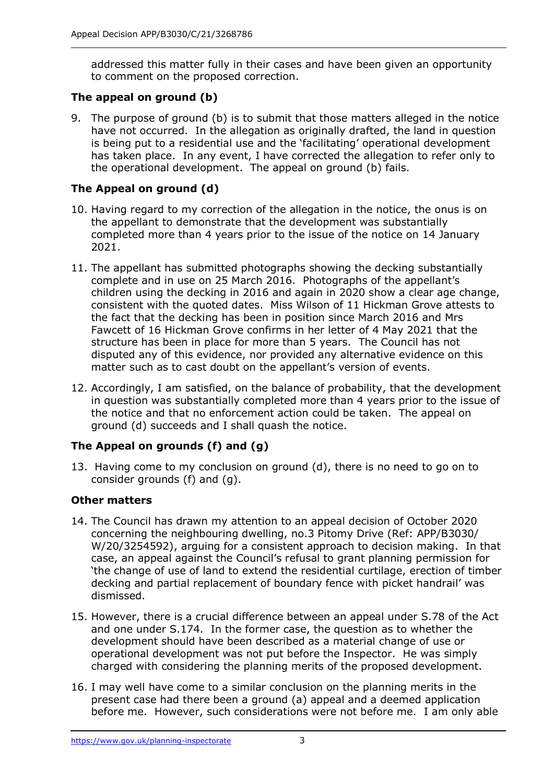addressed this matter fully in their cases and have been given an opportunity to comment on the proposed correction.

## **The appeal on ground (b)**

9. The purpose of ground (b) is to submit that those matters alleged in the notice have not occurred. In the allegation as originally drafted, the land in question is being put to a residential use and the 'facilitating' operational development has taken place. In any event, I have corrected the allegation to refer only to the operational development. The appeal on ground (b) fails.

# **The Appeal on ground (d)**

- 10. Having regard to my correction of the allegation in the notice, the onus is on the appellant to demonstrate that the development was substantially completed more than 4 years prior to the issue of the notice on 14 January 2021.
- 11. The appellant has submitted photographs showing the decking substantially complete and in use on 25 March 2016. Photographs of the appellant's children using the decking in 2016 and again in 2020 show a clear age change, consistent with the quoted dates. Miss Wilson of 11 Hickman Grove attests to the fact that the decking has been in position since March 2016 and Mrs Fawcett of 16 Hickman Grove confirms in her letter of 4 May 2021 that the structure has been in place for more than 5 years. The Council has not disputed any of this evidence, nor provided any alternative evidence on this matter such as to cast doubt on the appellant's version of events.
- 12. Accordingly, I am satisfied, on the balance of probability, that the development in question was substantially completed more than 4 years prior to the issue of the notice and that no enforcement action could be taken. The appeal on ground (d) succeeds and I shall quash the notice.

# **The Appeal on grounds (f) and (g)**

13. Having come to my conclusion on ground (d), there is no need to go on to consider grounds (f) and (g).

## **Other matters**

- 14. The Council has drawn my attention to an appeal decision of October 2020 concerning the neighbouring dwelling, no.3 Pitomy Drive (Ref: APP/B3030/ W/20/3254592), arguing for a consistent approach to decision making. In that case, an appeal against the Council's refusal to grant planning permission for 'the change of use of land to extend the residential curtilage, erection of timber decking and partial replacement of boundary fence with picket handrail' was dismissed.
- 15. However, there is a crucial difference between an appeal under S.78 of the Act and one under S.174. In the former case, the question as to whether the development should have been described as a material change of use or operational development was not put before the Inspector. He was simply charged with considering the planning merits of the proposed development.
- 16. I may well have come to a similar conclusion on the planning merits in the present case had there been a ground (a) appeal and a deemed application before me. However, such considerations were not before me. I am only able